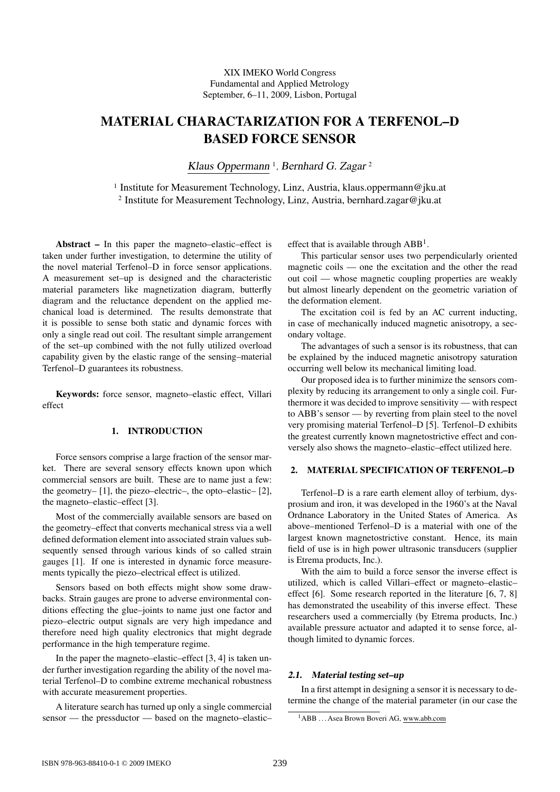# MATERIAL CHARACTARIZATION FOR A TERFENOL–D BASED FORCE SENSOR

Klaus Oppermann<sup>1</sup>, Bernhard G. Zagar<sup>2</sup>

<sup>1</sup> Institute for Measurement Technology, Linz, Austria, klaus.oppermann@jku.at 2 Institute for Measurement Technology, Linz, Austria, bernhard.zagar@jku.at

Abstract – In this paper the magneto–elastic–effect is taken under further investigation, to determine the utility of the novel material Terfenol–D in force sensor applications. A measurement set–up is designed and the characteristic material parameters like magnetization diagram, butterfly diagram and the reluctance dependent on the applied mechanical load is determined. The results demonstrate that it is possible to sense both static and dynamic forces with only a single read out coil. The resultant simple arrangement of the set–up combined with the not fully utilized overload capability given by the elastic range of the sensing–material Terfenol–D guarantees its robustness.

Keywords: force sensor, magneto–elastic effect, Villari effect

# 1. INTRODUCTION

Force sensors comprise a large fraction of the sensor market. There are several sensory effects known upon which commercial sensors are built. These are to name just a few: the geometry– [1], the piezo–electric–, the opto–elastic– [2], the magneto–elastic–effect [3].

Most of the commercially available sensors are based on the geometry–effect that converts mechanical stress via a well defined deformation element into associated strain values subsequently sensed through various kinds of so called strain gauges [1]. If one is interested in dynamic force measurements typically the piezo–electrical effect is utilized.

Sensors based on both effects might show some drawbacks. Strain gauges are prone to adverse environmental conditions effecting the glue–joints to name just one factor and piezo–electric output signals are very high impedance and therefore need high quality electronics that might degrade performance in the high temperature regime.

In the paper the magneto–elastic–effect [3, 4] is taken under further investigation regarding the ability of the novel material Terfenol–D to combine extreme mechanical robustness with accurate measurement properties.

A literature search has turned up only a single commercial sensor — the pressductor — based on the magneto–elastic– effect that is available through  $ABB<sup>1</sup>$ .

This particular sensor uses two perpendicularly oriented magnetic coils — one the excitation and the other the read out coil — whose magnetic coupling properties are weakly but almost linearly dependent on the geometric variation of the deformation element.

The excitation coil is fed by an AC current inducting, in case of mechanically induced magnetic anisotropy, a secondary voltage.

The advantages of such a sensor is its robustness, that can be explained by the induced magnetic anisotropy saturation occurring well below its mechanical limiting load.

Our proposed idea is to further minimize the sensors complexity by reducing its arrangement to only a single coil. Furthermore it was decided to improve sensitivity — with respect to ABB's sensor — by reverting from plain steel to the novel very promising material Terfenol–D [5]. Terfenol–D exhibits the greatest currently known magnetostrictive effect and conversely also shows the magneto–elastic–effect utilized here.

## 2. MATERIAL SPECIFICATION OF TERFENOL–D

Terfenol–D is a rare earth element alloy of terbium, dysprosium and iron, it was developed in the 1960's at the Naval Ordnance Laboratory in the United States of America. As above–mentioned Terfenol–D is a material with one of the largest known magnetostrictive constant. Hence, its main field of use is in high power ultrasonic transducers (supplier is Etrema products, Inc.).

With the aim to build a force sensor the inverse effect is utilized, which is called Villari–effect or magneto–elastic– effect [6]. Some research reported in the literature [6, 7, 8] has demonstrated the useability of this inverse effect. These researchers used a commercially (by Etrema products, Inc.) available pressure actuator and adapted it to sense force, although limited to dynamic forces.

# 2.1. Material testing set–up

In a first attempt in designing a sensor it is necessary to determine the change of the material parameter (in our case the

<sup>&</sup>lt;sup>1</sup>ABB ... Asea Brown Boveri AG, www.abb.com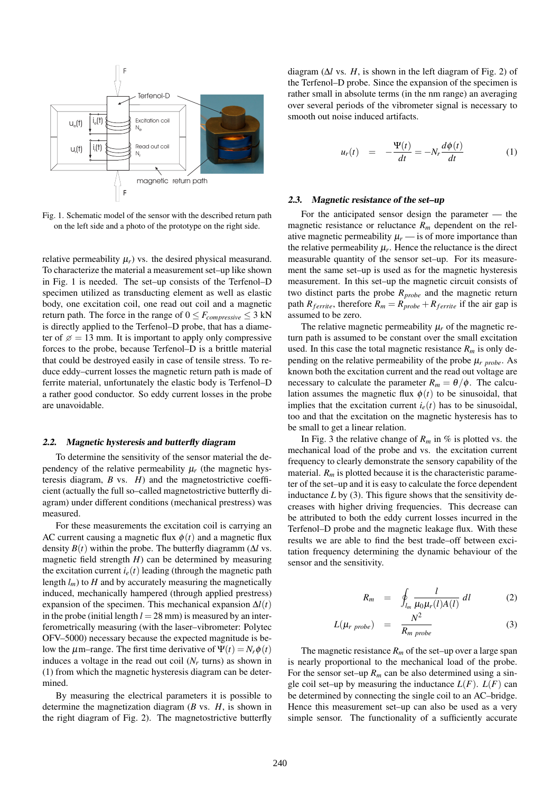

Fig. 1. Schematic model of the sensor with the described return path on the left side and a photo of the prototype on the right side.

relative permeability  $\mu_r$ ) vs. the desired physical measurand. To characterize the material a measurement set–up like shown in Fig. 1 is needed. The set–up consists of the Terfenol–D specimen utilized as transducting element as well as elastic body, one excitation coil, one read out coil and a magnetic return path. The force in the range of  $0 \leq F_{compressive} \leq 3$  kN is directly applied to the Terfenol–D probe, that has a diameter of  $\alpha = 13$  mm. It is important to apply only compressive forces to the probe, because Terfenol–D is a brittle material that could be destroyed easily in case of tensile stress. To reduce eddy–current losses the magnetic return path is made of ferrite material, unfortunately the elastic body is Terfenol–D a rather good conductor. So eddy current losses in the probe are unavoidable.

#### 2.2. Magnetic hysteresis and butterfly diagram

To determine the sensitivity of the sensor material the dependency of the relative permeability  $\mu_r$  (the magnetic hysteresis diagram, *B* vs. *H*) and the magnetostrictive coefficient (actually the full so–called magnetostrictive butterfly diagram) under different conditions (mechanical prestress) was measured.

For these measurements the excitation coil is carrying an AC current causing a magnetic flux  $\phi(t)$  and a magnetic flux density  $B(t)$  within the probe. The butterfly diagramm ( $\Delta l$  vs. magnetic field strength *H*) can be determined by measuring the excitation current  $i_e(t)$  leading (through the magnetic path length  $l_m$ ) to  $H$  and by accurately measuring the magnetically induced, mechanically hampered (through applied prestress) expansion of the specimen. This mechanical expansion ∆*l*(*t*) in the probe (initial length  $l = 28$  mm) is measured by an interferometrically measuring (with the laser–vibrometer: Polytec OFV–5000) necessary because the expected magnitude is below the  $\mu$ m–range. The first time derivative of  $\Psi(t) = N_r \phi(t)$ induces a voltage in the read out coil (*N<sup>r</sup>* turns) as shown in (1) from which the magnetic hysteresis diagram can be determined.

By measuring the electrical parameters it is possible to determine the magnetization diagram (*B* vs. *H*, is shown in the right diagram of Fig. 2). The magnetostrictive butterfly

diagram ( $\Delta l$  vs. *H*, is shown in the left diagram of Fig. 2) of the Terfenol–D probe. Since the expansion of the specimen is rather small in absolute terms (in the nm range) an averaging over several periods of the vibrometer signal is necessary to smooth out noise induced artifacts.

$$
u_r(t) = -\frac{\Psi(t)}{dt} = -N_r \frac{d\phi(t)}{dt}
$$
 (1)

#### 2.3. Magnetic resistance of the set–up

For the anticipated sensor design the parameter — the magnetic resistance or reluctance *R<sup>m</sup>* dependent on the relative magnetic permeability  $\mu_r$  — is of more importance than the relative permeability  $\mu_r$ . Hence the reluctance is the direct measurable quantity of the sensor set–up. For its measurement the same set–up is used as for the magnetic hysteresis measurement. In this set–up the magnetic circuit consists of two distinct parts the probe *Rprobe* and the magnetic return path  $R_{ferrite}$ , therefore  $R_m = R_{probe} + R_{ferrite}$  if the air gap is assumed to be zero.

The relative magnetic permeability  $\mu_r$  of the magnetic return path is assumed to be constant over the small excitation used. In this case the total magnetic resistance  $R_m$  is only depending on the relative permeability of the probe  $\mu_r$   $_{probe}$ . As known both the excitation current and the read out voltage are necessary to calculate the parameter  $R_m = \theta/\phi$ . The calculation assumes the magnetic flux  $\phi(t)$  to be sinusoidal, that implies that the excitation current  $i_e(t)$  has to be sinusoidal, too and that the excitation on the magnetic hysteresis has to be small to get a linear relation.

In Fig. 3 the relative change of  $R_m$  in % is plotted vs. the mechanical load of the probe and vs. the excitation current frequency to clearly demonstrate the sensory capability of the material.  $R_m$  is plotted because it is the characteristic parameter of the set–up and it is easy to calculate the force dependent inductance  $L$  by (3). This figure shows that the sensitivity decreases with higher driving frequencies. This decrease can be attributed to both the eddy current losses incurred in the Terfenol–D probe and the magnetic leakage flux. With these results we are able to find the best trade–off between excitation frequency determining the dynamic behaviour of the sensor and the sensitivity.

$$
R_m = \oint_{l_m} \frac{l}{\mu_0 \mu_r(l) A(l)} dl \qquad (2)
$$

$$
L(\mu_{r \; probe}) = \frac{N^2}{R_{m \; probe}} \tag{3}
$$

The magnetic resistance  $R_m$  of the set–up over a large span is nearly proportional to the mechanical load of the probe. For the sensor set–up  $R_m$  can be also determined using a single coil set–up by measuring the inductance  $L(F)$ .  $L(F)$  can be determined by connecting the single coil to an AC–bridge. Hence this measurement set–up can also be used as a very simple sensor. The functionality of a sufficiently accurate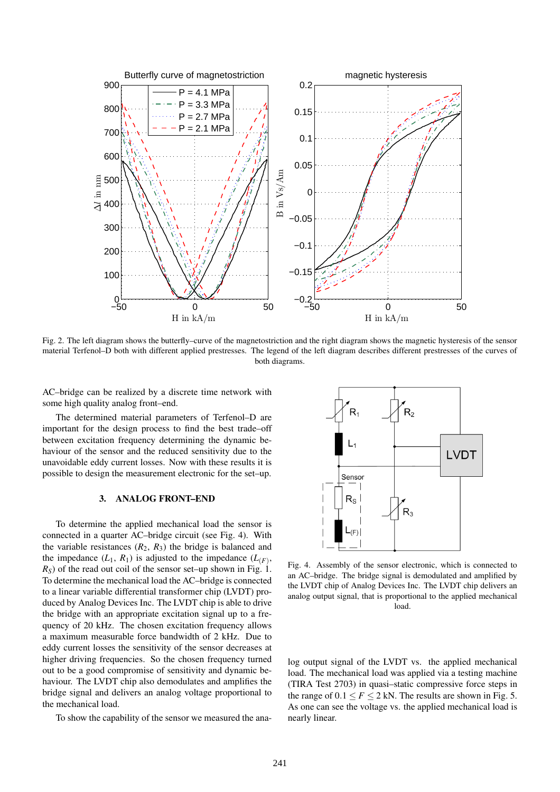

Fig. 2. The left diagram shows the butterfly–curve of the magnetostriction and the right diagram shows the magnetic hysteresis of the sensor material Terfenol–D both with different applied prestresses. The legend of the left diagram describes different prestresses of the curves of both diagrams.

AC–bridge can be realized by a discrete time network with some high quality analog front–end.

The determined material parameters of Terfenol–D are important for the design process to find the best trade–off between excitation frequency determining the dynamic behaviour of the sensor and the reduced sensitivity due to the unavoidable eddy current losses. Now with these results it is possible to design the measurement electronic for the set–up.

### 3. ANALOG FRONT–END

To determine the applied mechanical load the sensor is connected in a quarter AC–bridge circuit (see Fig. 4). With the variable resistances  $(R_2, R_3)$  the bridge is balanced and the impedance  $(L_1, R_1)$  is adjusted to the impedance  $(L_{(F)},$  $R<sub>S</sub>$ ) of the read out coil of the sensor set–up shown in Fig. 1. To determine the mechanical load the AC–bridge is connected to a linear variable differential transformer chip (LVDT) produced by Analog Devices Inc. The LVDT chip is able to drive the bridge with an appropriate excitation signal up to a frequency of 20 kHz. The chosen excitation frequency allows a maximum measurable force bandwidth of 2 kHz. Due to eddy current losses the sensitivity of the sensor decreases at higher driving frequencies. So the chosen frequency turned out to be a good compromise of sensitivity and dynamic behaviour. The LVDT chip also demodulates and amplifies the bridge signal and delivers an analog voltage proportional to the mechanical load.

To show the capability of the sensor we measured the ana-



Fig. 4. Assembly of the sensor electronic, which is connected to an AC–bridge. The bridge signal is demodulated and amplified by the LVDT chip of Analog Devices Inc. The LVDT chip delivers an analog output signal, that is proportional to the applied mechanical load.

log output signal of the LVDT vs. the applied mechanical load. The mechanical load was applied via a testing machine (TIRA Test 2703) in quasi–static compressive force steps in the range of  $0.1 \le F \le 2$  kN. The results are shown in Fig. 5. As one can see the voltage vs. the applied mechanical load is nearly linear.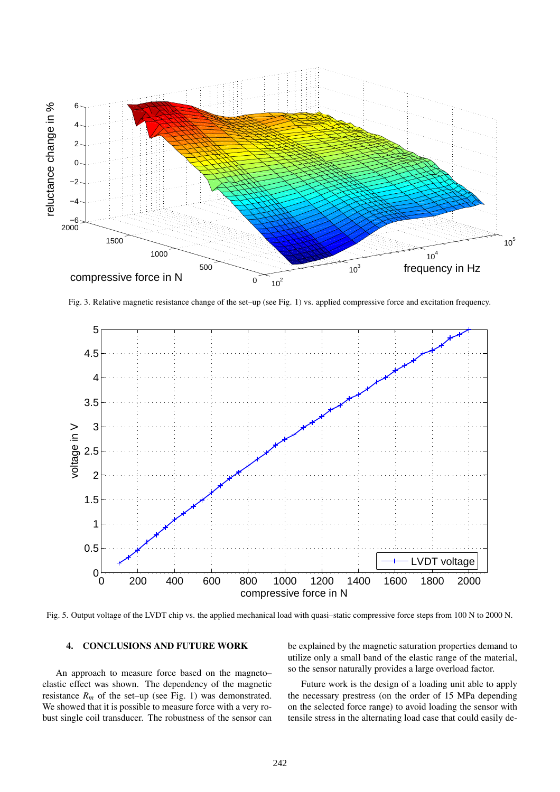

Fig. 3. Relative magnetic resistance change of the set–up (see Fig. 1) vs. applied compressive force and excitation frequency.



Fig. 5. Output voltage of the LVDT chip vs. the applied mechanical load with quasi–static compressive force steps from 100 N to 2000 N.

# 4. CONCLUSIONS AND FUTURE WORK

An approach to measure force based on the magneto– elastic effect was shown. The dependency of the magnetic resistance  $R_m$  of the set–up (see Fig. 1) was demonstrated. We showed that it is possible to measure force with a very robust single coil transducer. The robustness of the sensor can be explained by the magnetic saturation properties demand to utilize only a small band of the elastic range of the material, so the sensor naturally provides a large overload factor.

Future work is the design of a loading unit able to apply the necessary prestress (on the order of 15 MPa depending on the selected force range) to avoid loading the sensor with tensile stress in the alternating load case that could easily de